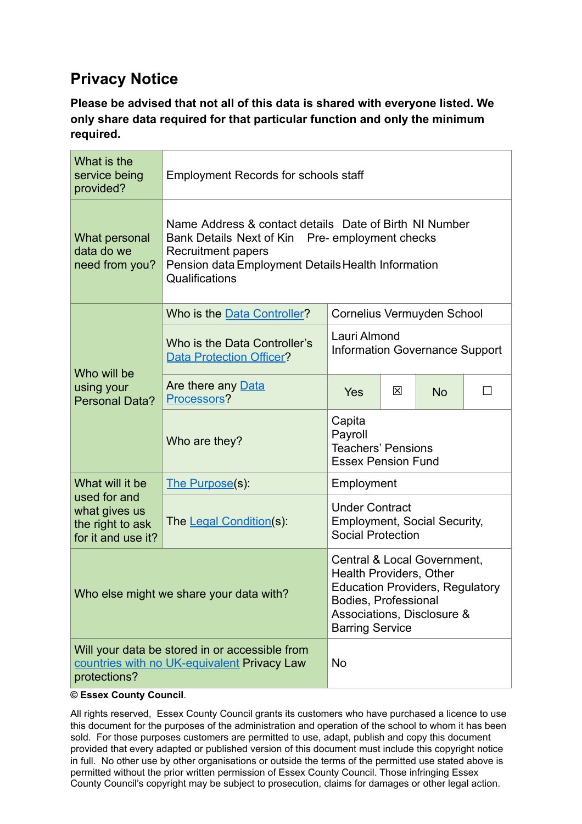## **Privacy Notice**

**Please be advised that not all of this data is shared with everyone listed. We only share data required for that particular function and only the minimum required.**

| What is the<br>service being<br>provided?                                                                     | <b>Employment Records for schools staff</b>                                                                                                                                                             |                                                                                          |   |           |  |  |  |
|---------------------------------------------------------------------------------------------------------------|---------------------------------------------------------------------------------------------------------------------------------------------------------------------------------------------------------|------------------------------------------------------------------------------------------|---|-----------|--|--|--|
| What personal<br>data do we<br>need from you?                                                                 | Name Address & contact details Date of Birth NI Number<br>Bank Details Next of Kin Pre- employment checks<br>Recruitment papers<br>Pension data Employment Details Health Information<br>Qualifications |                                                                                          |   |           |  |  |  |
| Who will be<br>using your<br><b>Personal Data?</b>                                                            | Cornelius Vermuyden School<br>Who is the Data Controller?                                                                                                                                               |                                                                                          |   |           |  |  |  |
|                                                                                                               | Who is the Data Controller's<br><b>Data Protection Officer?</b>                                                                                                                                         | Lauri Almond<br><b>Information Governance Support</b>                                    |   |           |  |  |  |
|                                                                                                               | Are there any Data<br>Processors?                                                                                                                                                                       | Yes                                                                                      | ⊠ | <b>No</b> |  |  |  |
|                                                                                                               | Who are they?                                                                                                                                                                                           | Capita<br>Payroll<br><b>Teachers' Pensions</b><br><b>Essex Pension Fund</b>              |   |           |  |  |  |
| What will it be<br>used for and<br>what gives us<br>the right to ask<br>for it and use it?                    | The Purpose(s):                                                                                                                                                                                         | Employment                                                                               |   |           |  |  |  |
|                                                                                                               | The Legal Condition(s):                                                                                                                                                                                 | <b>Under Contract</b><br><b>Employment, Social Security,</b><br><b>Social Protection</b> |   |           |  |  |  |
| Who else might we share your data with?                                                                       | Central & Local Government,<br><b>Health Providers, Other</b><br><b>Education Providers, Regulatory</b><br>Bodies, Professional<br>Associations, Disclosure &<br><b>Barring Service</b>                 |                                                                                          |   |           |  |  |  |
| Will your data be stored in or accessible from<br>countries with no UK-equivalent Privacy Law<br>protections? | <b>No</b>                                                                                                                                                                                               |                                                                                          |   |           |  |  |  |

**© Essex County Council**.

All rights reserved, Essex County Council grants its customers who have purchased a licence to use this document for the purposes of the administration and operation of the school to whom it has been sold. For those purposes customers are permitted to use, adapt, publish and copy this document provided that every adapted or published version of this document must include this copyright notice in full. No other use by other organisations or outside the terms of the permitted use stated above is permitted without the prior written permission of Essex County Council. Those infringing Essex County Council's copyright may be subject to prosecution, claims for damages or other legal action.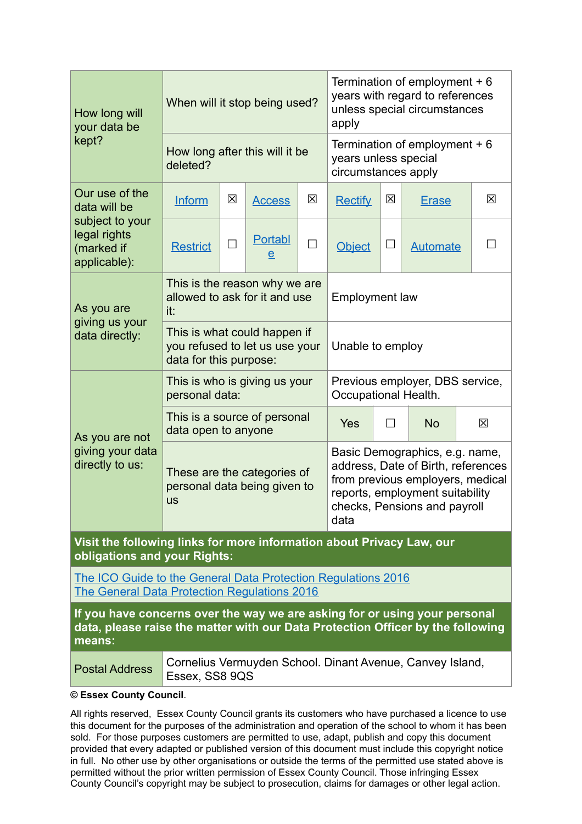| How long will<br>your data be<br>kept?                                                                                                                                  | When will it stop being used?                                                            |             |                                | Termination of employment + 6<br>years with regard to references<br>unless special circumstances<br>apply                                                                           |                |           |                                                           |   |
|-------------------------------------------------------------------------------------------------------------------------------------------------------------------------|------------------------------------------------------------------------------------------|-------------|--------------------------------|-------------------------------------------------------------------------------------------------------------------------------------------------------------------------------------|----------------|-----------|-----------------------------------------------------------|---|
|                                                                                                                                                                         | How long after this will it be<br>deleted?                                               |             |                                | Termination of employment $+6$<br>years unless special<br>circumstances apply                                                                                                       |                |           |                                                           |   |
| Our use of the<br>data will be<br>subject to your<br>legal rights<br>(marked if<br>applicable):                                                                         | <b>Inform</b>                                                                            | $\boxtimes$ | <b>Access</b>                  | 区                                                                                                                                                                                   | <b>Rectify</b> | 区         | <b>Erase</b>                                              | 区 |
|                                                                                                                                                                         | <b>Restrict</b>                                                                          | П           | <b>Portabl</b><br>$\mathbf{e}$ | $\Box$                                                                                                                                                                              | <b>Object</b>  | $\Box$    | <b>Automate</b>                                           |   |
| As you are<br>giving us your<br>data directly:                                                                                                                          | This is the reason why we are<br>allowed to ask for it and use<br>it:                    |             |                                | <b>Employment law</b>                                                                                                                                                               |                |           |                                                           |   |
|                                                                                                                                                                         | This is what could happen if<br>you refused to let us use your<br>data for this purpose: |             |                                | Unable to employ                                                                                                                                                                    |                |           |                                                           |   |
| As you are not<br>giving your data<br>directly to us:                                                                                                                   | This is who is giving us your<br>personal data:                                          |             |                                | Previous employer, DBS service,<br>Occupational Health.                                                                                                                             |                |           |                                                           |   |
|                                                                                                                                                                         | This is a source of personal<br>data open to anyone                                      |             |                                | <b>Yes</b>                                                                                                                                                                          | П              | <b>No</b> | 区                                                         |   |
|                                                                                                                                                                         | These are the categories of<br>personal data being given to<br><b>us</b>                 |             |                                | Basic Demographics, e.g. name,<br>address, Date of Birth, references<br>from previous employers, medical<br>reports, employment suitability<br>checks, Pensions and payroll<br>data |                |           |                                                           |   |
| Visit the following links for more information about Privacy Law, our<br>obligations and your Rights:                                                                   |                                                                                          |             |                                |                                                                                                                                                                                     |                |           |                                                           |   |
| The ICO Guide to the General Data Protection Regulations 2016<br><b>The General Data Protection Regulations 2016</b>                                                    |                                                                                          |             |                                |                                                                                                                                                                                     |                |           |                                                           |   |
| If you have concerns over the way we are asking for or using your personal<br>data, please raise the matter with our Data Protection Officer by the following<br>means: |                                                                                          |             |                                |                                                                                                                                                                                     |                |           |                                                           |   |
| <b>Postal Address</b>                                                                                                                                                   | Essex, SS8 9QS                                                                           |             |                                |                                                                                                                                                                                     |                |           | Cornelius Vermuyden School. Dinant Avenue, Canvey Island, |   |

**© Essex County Council**.

All rights reserved, Essex County Council grants its customers who have purchased a licence to use this document for the purposes of the administration and operation of the school to whom it has been sold. For those purposes customers are permitted to use, adapt, publish and copy this document provided that every adapted or published version of this document must include this copyright notice in full. No other use by other organisations or outside the terms of the permitted use stated above is permitted without the prior written permission of Essex County Council. Those infringing Essex County Council's copyright may be subject to prosecution, claims for damages or other legal action.